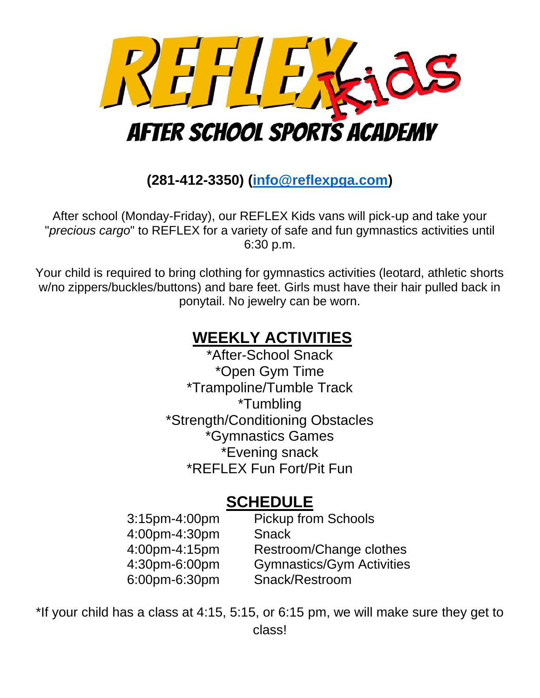

**(281-412-3350) [\(info@reflexpga.com\)](mailto:info@reflexpga.com)**

After school (Monday-Friday), our REFLEX Kids vans will pick-up and take your "*precious cargo*" to REFLEX for a variety of safe and fun gymnastics activities until 6:30 p.m.

Your child is required to bring clothing for gymnastics activities (leotard, athletic shorts w/no zippers/buckles/buttons) and bare feet. Girls must have their hair pulled back in ponytail. No jewelry can be worn.

## **WEEKLY ACTIVITIES**

\*After-School Snack \*Open Gym Time \*Trampoline/Tumble Track \*Tumbling \*Strength/Conditioning Obstacles \*Gymnastics Games \*Evening snack \*REFLEX Fun Fort/Pit Fun

## **SCHEDULE**

| <b>Pickup from Schools</b>       |
|----------------------------------|
| <b>Snack</b>                     |
| Restroom/Change clothes          |
| <b>Gymnastics/Gym Activities</b> |
| Snack/Restroom                   |
|                                  |

\*If your child has a class at 4:15, 5:15, or 6:15 pm, we will make sure they get to class!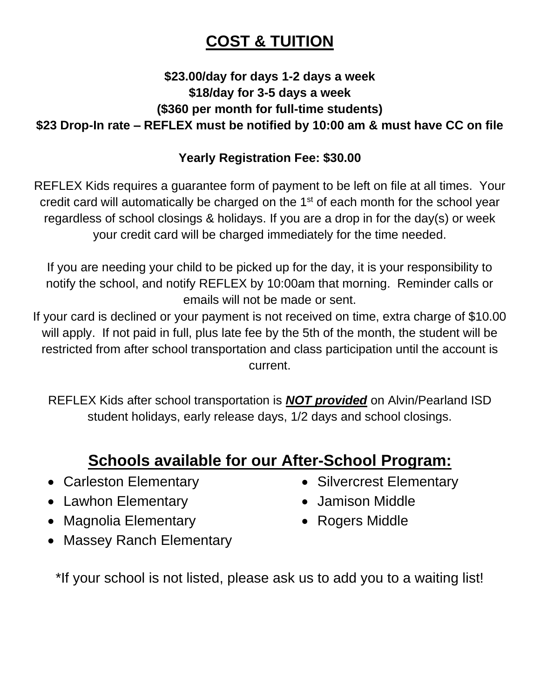## **COST & TUITION**

#### **\$23.00/day for days 1-2 days a week \$18/day for 3-5 days a week (\$360 per month for full-time students) \$23 Drop-In rate – REFLEX must be notified by 10:00 am & must have CC on file**

#### **Yearly Registration Fee: \$30.00**

REFLEX Kids requires a guarantee form of payment to be left on file at all times. Your credit card will automatically be charged on the  $1<sup>st</sup>$  of each month for the school year regardless of school closings & holidays. If you are a drop in for the day(s) or week your credit card will be charged immediately for the time needed.

If you are needing your child to be picked up for the day, it is your responsibility to notify the school, and notify REFLEX by 10:00am that morning. Reminder calls or emails will not be made or sent.

If your card is declined or your payment is not received on time, extra charge of \$10.00 will apply. If not paid in full, plus late fee by the 5th of the month, the student will be restricted from after school transportation and class participation until the account is current.

REFLEX Kids after school transportation is *NOT provided* on Alvin/Pearland ISD student holidays, early release days, 1/2 days and school closings.

## **Schools available for our After-School Program:**

- Carleston Elementary
- Lawhon Elementary
- Magnolia Elementary
- Massey Ranch Elementary

\*If your school is not listed, please ask us to add you to a waiting list!

- Silvercrest Elementary
- Jamison Middle
- Rogers Middle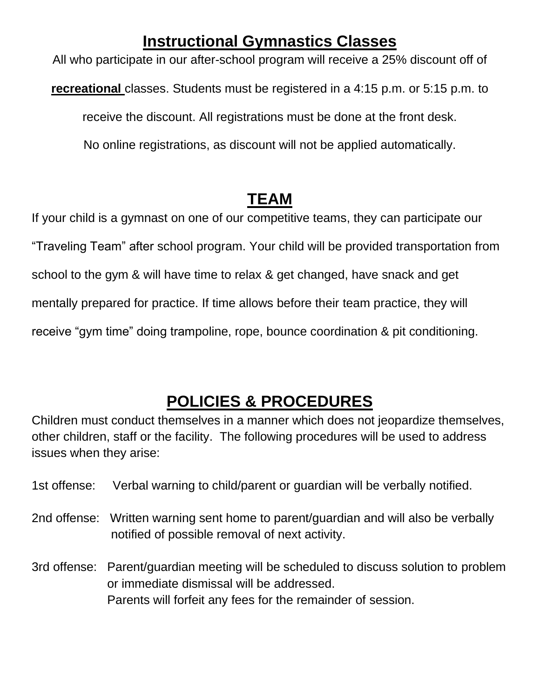### **Instructional Gymnastics Classes**

All who participate in our after-school program will receive a 25% discount off of **recreational** classes. Students must be registered in a 4:15 p.m. or 5:15 p.m. to receive the discount. All registrations must be done at the front desk. No online registrations, as discount will not be applied automatically.

## **TEAM**

If your child is a gymnast on one of our competitive teams, they can participate our "Traveling Team" after school program. Your child will be provided transportation from school to the gym & will have time to relax & get changed, have snack and get mentally prepared for practice. If time allows before their team practice, they will receive "gym time" doing trampoline, rope, bounce coordination & pit conditioning.

## **POLICIES & PROCEDURES**

Children must conduct themselves in a manner which does not jeopardize themselves, other children, staff or the facility. The following procedures will be used to address issues when they arise:

- 1st offense: Verbal warning to child/parent or guardian will be verbally notified.
- 2nd offense: Written warning sent home to parent/guardian and will also be verbally notified of possible removal of next activity.
- 3rd offense: Parent/guardian meeting will be scheduled to discuss solution to problem or immediate dismissal will be addressed. Parents will forfeit any fees for the remainder of session.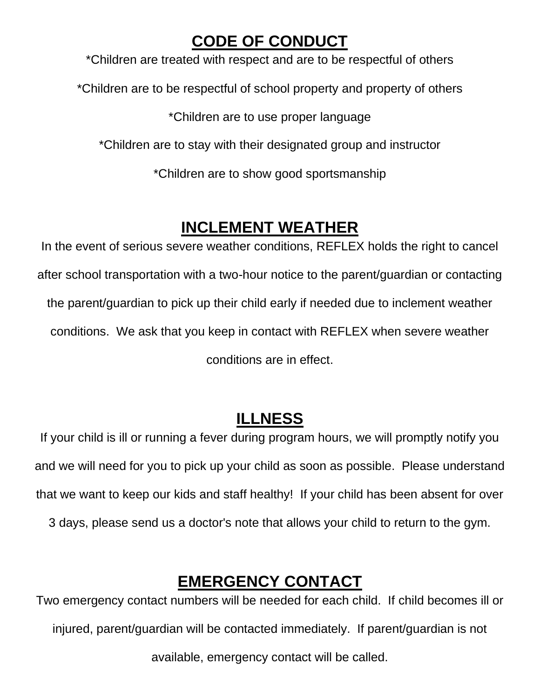### **CODE OF CONDUCT**

\*Children are treated with respect and are to be respectful of others \*Children are to be respectful of school property and property of others \*Children are to use proper language \*Children are to stay with their designated group and instructor \*Children are to show good sportsmanship

## **INCLEMENT WEATHER**

In the event of serious severe weather conditions, REFLEX holds the right to cancel after school transportation with a two-hour notice to the parent/guardian or contacting the parent/guardian to pick up their child early if needed due to inclement weather conditions. We ask that you keep in contact with REFLEX when severe weather conditions are in effect.

## **ILLNESS**

If your child is ill or running a fever during program hours, we will promptly notify you and we will need for you to pick up your child as soon as possible. Please understand that we want to keep our kids and staff healthy! If your child has been absent for over 3 days, please send us a doctor's note that allows your child to return to the gym.

## **EMERGENCY CONTACT**

Two emergency contact numbers will be needed for each child. If child becomes ill or injured, parent/guardian will be contacted immediately. If parent/guardian is not available, emergency contact will be called.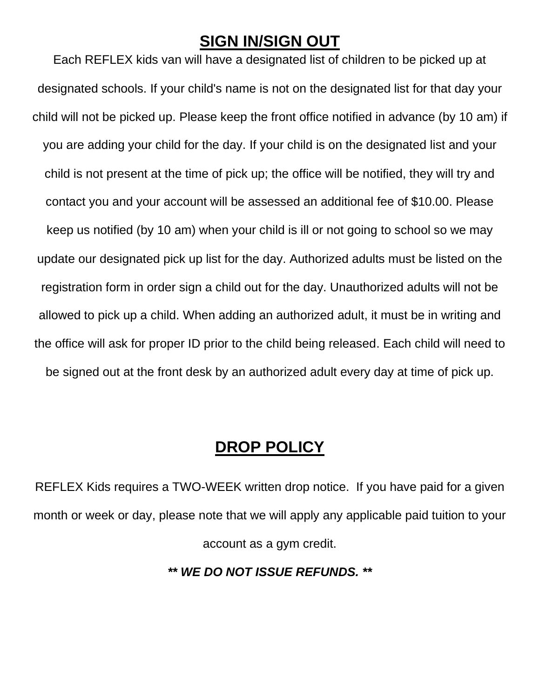#### **SIGN IN/SIGN OUT**

Each REFLEX kids van will have a designated list of children to be picked up at designated schools. If your child's name is not on the designated list for that day your child will not be picked up. Please keep the front office notified in advance (by 10 am) if you are adding your child for the day. If your child is on the designated list and your child is not present at the time of pick up; the office will be notified, they will try and contact you and your account will be assessed an additional fee of \$10.00. Please keep us notified (by 10 am) when your child is ill or not going to school so we may update our designated pick up list for the day. Authorized adults must be listed on the registration form in order sign a child out for the day. Unauthorized adults will not be allowed to pick up a child. When adding an authorized adult, it must be in writing and the office will ask for proper ID prior to the child being released. Each child will need to be signed out at the front desk by an authorized adult every day at time of pick up.

#### **DROP POLICY**

REFLEX Kids requires a TWO-WEEK written drop notice. If you have paid for a given month or week or day, please note that we will apply any applicable paid tuition to your account as a gym credit.

#### *\*\* WE DO NOT ISSUE REFUNDS. \*\**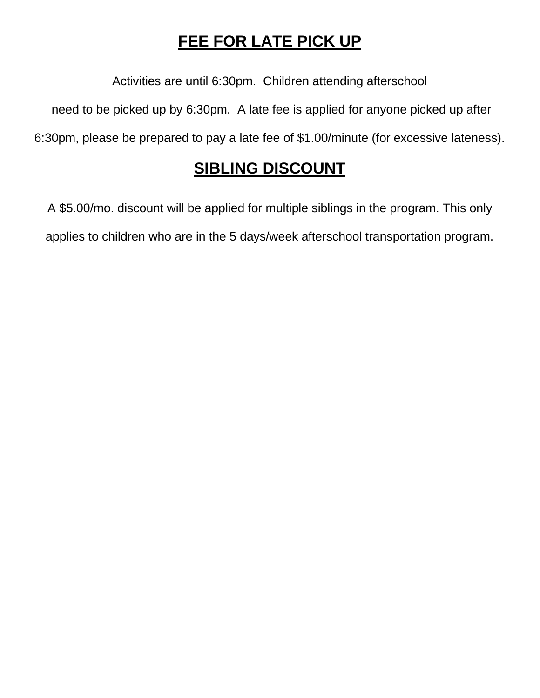## **FEE FOR LATE PICK UP**

Activities are until 6:30pm. Children attending afterschool

need to be picked up by 6:30pm. A late fee is applied for anyone picked up after

6:30pm, please be prepared to pay a late fee of \$1.00/minute (for excessive lateness).

### **SIBLING DISCOUNT**

A \$5.00/mo. discount will be applied for multiple siblings in the program. This only applies to children who are in the 5 days/week afterschool transportation program.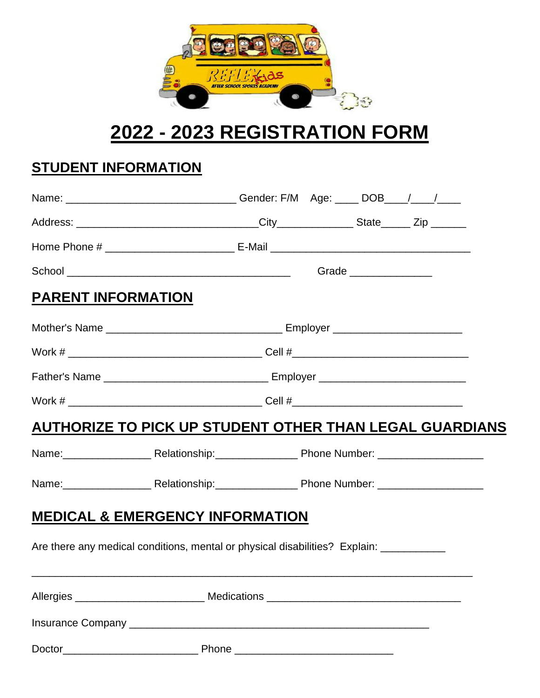

# **2022 - 2023 REGISTRATION FORM**

### **STUDENT INFORMATION**

|                           | Name: ________________________________Gender: F/M Age: _____ DOB____/____/______        |  |  |  |  |  |  |  |
|---------------------------|-----------------------------------------------------------------------------------------|--|--|--|--|--|--|--|
|                           |                                                                                         |  |  |  |  |  |  |  |
|                           |                                                                                         |  |  |  |  |  |  |  |
|                           |                                                                                         |  |  |  |  |  |  |  |
| <b>PARENT INFORMATION</b> |                                                                                         |  |  |  |  |  |  |  |
|                           |                                                                                         |  |  |  |  |  |  |  |
|                           |                                                                                         |  |  |  |  |  |  |  |
|                           |                                                                                         |  |  |  |  |  |  |  |
|                           |                                                                                         |  |  |  |  |  |  |  |
|                           | AUTHORIZE TO PICK UP STUDENT OTHER THAN LEGAL GUARDIANS                                 |  |  |  |  |  |  |  |
|                           | Name: Relationship: Phone Number: 2010 2020                                             |  |  |  |  |  |  |  |
|                           | Name: Relationship: Phone Number: 2010 2020                                             |  |  |  |  |  |  |  |
|                           | <b>MEDICAL &amp; EMERGENCY INFORMATION</b>                                              |  |  |  |  |  |  |  |
|                           | Are there any medical conditions, mental or physical disabilities? Explain: ___________ |  |  |  |  |  |  |  |
|                           |                                                                                         |  |  |  |  |  |  |  |
|                           |                                                                                         |  |  |  |  |  |  |  |
|                           |                                                                                         |  |  |  |  |  |  |  |